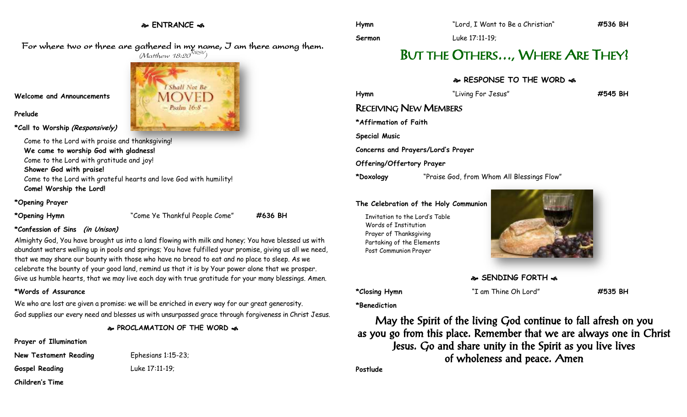### **ENTRANCE**

For where two or three are gathered in my name, I am there among them.  $(M$ atthew 18:20 $^{NRSV})$ 



**Welcome and Announcements**

**Prelude**

**\*Call to Worship (Responsively)**

Come to the Lord with praise and thanksgiving! **We came to worship God with gladness!** Come to the Lord with gratitude and joy! **Shower God with praise!** Come to the Lord with grateful hearts and love God with humility! **Come! Worship the Lord!**

### **\*Opening Prayer**

**\*Opening Hymn** "Come Ye Thankful People Come" **#636 BH**

### **\*Confession of Sins (in Unison)**

Almighty God, You have brought us into a land flowing with milk and honey; You have blessed us with abundant waters welling up in pools and springs; You have fulfilled your promise, giving us all we need, that we may share our bounty with those who have no bread to eat and no place to sleep. As we celebrate the bounty of your good land, remind us that it is by Your power alone that we prosper. Give us humble hearts, that we may live each day with true gratitude for your many blessings. Amen.

### **\*Words of Assurance**

We who are lost are given a promise: we will be enriched in every way for our great generosity. God supplies our every need and blesses us with unsurpassed grace through forgiveness in Christ Jesus.

**PROCLAMATION OF THE WORD** 

### **Prayer of Illumination**

**New Testament Reading** Ephesians 1:15-23; **Gospel Reading** Luke 17:11-19; **Children's Time**

**Sermon** Luke 17:11-19;

# BUT THE OTHERS…, WHERE ARE THEY?

### **RESPONSE TO THE WORD**

| Hymn                      | "Living For Jesus"                         | #545 BH |
|---------------------------|--------------------------------------------|---------|
|                           | <b>RECEIVING NEW MEMBERS</b>               |         |
| *Affirmation of Faith     |                                            |         |
| <b>Special Music</b>      |                                            |         |
|                           | Concerns and Prayers/Lord's Prayer         |         |
| Offering/Offertory Prayer |                                            |         |
| *Doxology                 | "Praise God, from Whom All Blessings Flow" |         |
|                           |                                            |         |

### **The Celebration of the Holy Communion**

Invitation to the Lord's Table Words of Institution Prayer of Thanksgiving Partaking of the Elements Post Communion Prayer



**SENDING FORTH**  $\bullet$ 

**\*Closing Hymn** "I am Thine Oh Lord" **#535 BH**

**\*Benediction**

May the Spirit of the living God continue to fall afresh on you as you go from this place. Remember that we are always one in Christ Jesus. Go and share unity in the Spirit as you live lives of wholeness and peace. Amen

**Postlude**